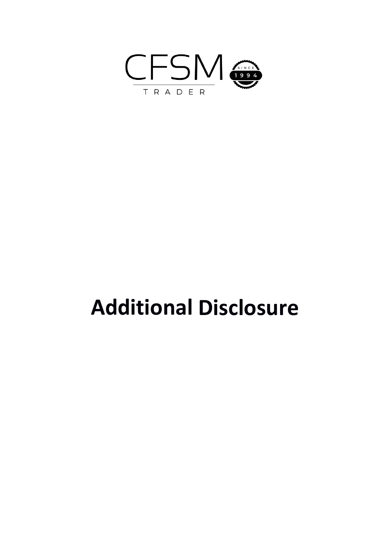

# **Additional Disclosure**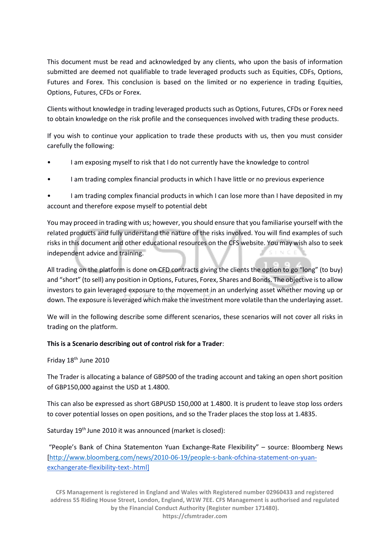This document must be read and acknowledged by any clients, who upon the basis of information submitted are deemed not qualifiable to trade leveraged products such as Equities, CDFs, Options, Futures and Forex. This conclusion is based on the limited or no experience in trading Equities, Options, Futures, CFDs or Forex.

Clients without knowledge in trading leveraged products such as Options, Futures, CFDs or Forex need to obtain knowledge on the risk profile and the consequences involved with trading these products.

If you wish to continue your application to trade these products with us, then you must consider carefully the following:

- I am exposing myself to risk that I do not currently have the knowledge to control
- I am trading complex financial products in which I have little or no previous experience

• I am trading complex financial products in which I can lose more than I have deposited in my account and therefore expose myself to potential debt

You may proceed in trading with us; however, you should ensure that you familiarise yourself with the related products and fully understand the nature of the risks involved. You will find examples of such risks in this document and other educational resources on the CFS website. You may wish also to seek independent advice and training.

All trading on the platform is done on CFD contracts giving the clients the option to go "long" (to buy) and "short" (to sell) any position in Options, Futures, Forex, Shares and Bonds. The objective is to allow investors to gain leveraged exposure to the movement in an underlying asset whether moving up or down. The exposure is leveraged which make the investment more volatile than the underlaying asset.

We will in the following describe some different scenarios, these scenarios will not cover all risks in trading on the platform.

## **This is a Scenario describing out of control risk for a Trader**:

Friday 18th June 2010

The Trader is allocating a balance of GBP500 of the trading account and taking an open short position of GBP150,000 against the USD at 1.4800.

This can also be expressed as short GBPUSD 150,000 at 1.4800. It is prudent to leave stop loss orders to cover potential losses on open positions, and so the Trader places the stop loss at 1.4835.

Saturday 19<sup>th</sup> June 2010 it was announced (market is closed):

"People's Bank of China Statementon Yuan Exchange-Rate Flexibility" – source: Bloomberg News [\[http://www.bloomberg.com/news/2010-06-19/people-s-bank-](http://www.bloomberg.com/news/2010-06-19/people-s-bank-)[ofchina-statement-on-yuan](http://www.bloomberg.com/news/2010-06-19/people-s-bank-ofchina-statement-on-yuan-exchangerate-flexibility-text-.html)[exchangerate-flexibility-text-.html\]](http://www.bloomberg.com/news/2010-06-19/people-s-bank-ofchina-statement-on-yuan-exchangerate-flexibility-text-.html)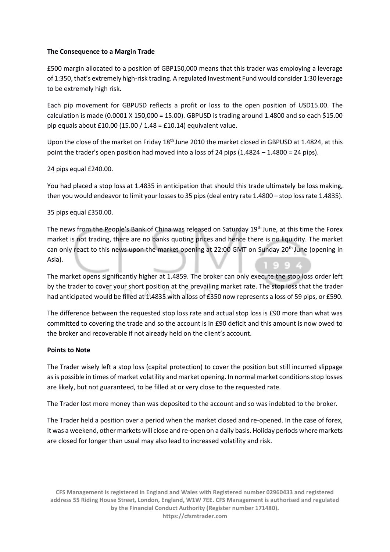## **The Consequence to a Margin Trade**

£500 margin allocated to a position of GBP150,000 means that this trader was employing a leverage of 1:350, that's extremely high-risk trading. A regulated Investment Fund would consider 1:30 leverage to be extremely high risk.

Each pip movement for GBPUSD reflects a profit or loss to the open position of USD15.00. The calculation is made  $(0.0001 \times 150,000 = 15.00)$ . GBPUSD is trading around 1.4800 and so each \$15.00 pip equals about £10.00 (15.00 / 1.48 = £10.14) equivalent value.

Upon the close of the market on Friday 18<sup>th</sup> June 2010 the market closed in GBPUSD at 1.4824, at this point the trader's open position had moved into a loss of 24 pips (1.4824 – 1.4800 = 24 pips).

## 24 pips equal £240.00.

You had placed a stop loss at 1.4835 in anticipation that should this trade ultimately be loss making, then you would endeavor to limit your losses to 35 pips (deal entry rate 1.4800 – stop loss rate 1.4835).

## 35 pips equal £350.00.

The news from the People's Bank of China was released on Saturday 19<sup>th</sup> June, at this time the Forex market is not trading, there are no banks quoting prices and hence there is no liquidity. The market can only react to this news upon the market opening at 22:00 GMT on Sunday 20<sup>th</sup> June (opening in Asia).

The market opens significantly higher at 1.4859. The broker can only execute the stop loss order left by the trader to cover your short position at the prevailing market rate. The stop loss that the trader had anticipated would be filled at 1.4835 with a loss of £350 now represents a loss of 59 pips, or £590.

The difference between the requested stop loss rate and actual stop loss is £90 more than what was committed to covering the trade and so the account is in £90 deficit and this amount is now owed to the broker and recoverable if not already held on the client's account.

#### **Points to Note**

The Trader wisely left a stop loss (capital protection) to cover the position but still incurred slippage as is possible in times of market volatility and market opening. In normal market conditions stop losses are likely, but not guaranteed, to be filled at or very close to the requested rate.

The Trader lost more money than was deposited to the account and so was indebted to the broker.

The Trader held a position over a period when the market closed and re-opened. In the case of forex, it was a weekend, other markets will close and re-open on a daily basis. Holiday periods where markets are closed for longer than usual may also lead to increased volatility and risk.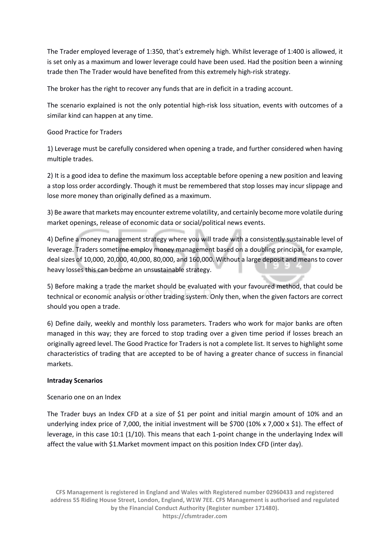The Trader employed leverage of 1:350, that's extremely high. Whilst leverage of 1:400 is allowed, it is set only as a maximum and lower leverage could have been used. Had the position been a winning trade then The Trader would have benefited from this extremely high-risk strategy.

The broker has the right to recover any funds that are in deficit in a trading account.

The scenario explained is not the only potential high-risk loss situation, events with outcomes of a similar kind can happen at any time.

# Good Practice for Traders

1) Leverage must be carefully considered when opening a trade, and further considered when having multiple trades.

2) It is a good idea to define the maximum loss acceptable before opening a new position and leaving a stop loss order accordingly. Though it must be remembered that stop losses may incur slippage and lose more money than originally defined as a maximum.

3) Be aware that markets may encounter extreme volatility, and certainly become more volatile during market openings, release of economic data or social/political news events.

4) Define a money management strategy where you will trade with a consistently sustainable level of leverage. Traders sometime employ money management based on a doubling principal, for example, deal sizes of 10,000, 20,000, 40,000, 80,000, and 160,000. Without a large deposit and means to cover heavy losses this can become an unsustainable strategy.

5) Before making a trade the market should be evaluated with your favoured method, that could be technical or economic analysis or other trading system. Only then, when the given factors are correct should you open a trade.

6) Define daily, weekly and monthly loss parameters. Traders who work for major banks are often managed in this way; they are forced to stop trading over a given time period if losses breach an originally agreed level. The Good Practice for Traders is not a complete list. It serves to highlight some characteristics of trading that are accepted to be of having a greater chance of success in financial markets.

## **Intraday Scenarios**

## Scenario one on an Index

The Trader buys an Index CFD at a size of \$1 per point and initial margin amount of 10% and an underlying index price of 7,000, the initial investment will be \$700 (10% x 7,000 x \$1). The effect of leverage, in this case 10:1 (1/10). This means that each 1-point change in the underlaying Index will affect the value with \$1.Market movment impact on this position Index CFD (inter day).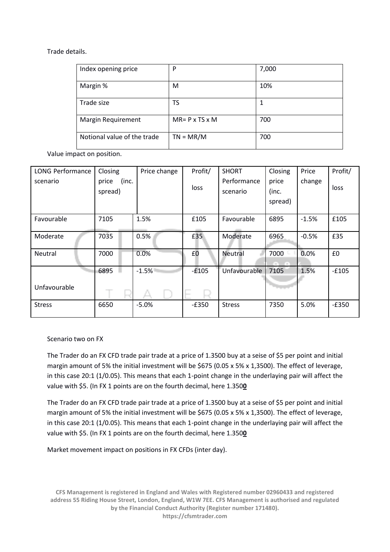## Trade details.

| Index opening price         | P                           | 7,000 |
|-----------------------------|-----------------------------|-------|
| Margin %                    | M                           | 10%   |
| Trade size                  | TS                          | 1     |
| Margin Requirement          | $MR = P \times TS \times M$ | 700   |
| Notional value of the trade | $TN = MR/M$                 | 700   |

Value impact on position.

| <b>LONG Performance</b> | Closing        | Price change | Profit/ | <b>SHORT</b>  | Closing            | Price   | Profit/ |  |
|-------------------------|----------------|--------------|---------|---------------|--------------------|---------|---------|--|
| scenario                | (inc.<br>price |              |         | Performance   | price              | change  |         |  |
|                         | spread)        |              | loss    | scenario      | (inc.              |         | loss    |  |
|                         |                |              |         |               | spread)            |         |         |  |
|                         |                |              |         |               |                    |         |         |  |
| Favourable              | 7105           | 1.5%         | £105    | Favourable    | 6895               | $-1.5%$ | £105    |  |
| Moderate                | 7035           | 0.5%         | £35     | Moderate      | 6965               | $-0.5%$ | £35     |  |
|                         |                |              |         |               |                    |         |         |  |
| <b>Neutral</b>          | 7000           | 0.0%         | £0      | Neutral       | 7000               | 0.0%    | £0      |  |
|                         |                |              |         |               | <b>START START</b> |         |         |  |
|                         | 6895           | $-1.5%$      | $-£105$ | Unfavourable  | 7105               | 1.5%    | $-£105$ |  |
|                         |                |              |         |               |                    |         |         |  |
| Unfavourable            |                |              | ь.      |               |                    |         |         |  |
| <b>Stress</b>           | 6650           | $-5.0%$      | $-E350$ | <b>Stress</b> | 7350               | 5.0%    | $-E350$ |  |
|                         |                |              |         |               |                    |         |         |  |

Scenario two on FX

The Trader do an FX CFD trade pair trade at a price of 1.3500 buy at a seise of \$5 per point and initial margin amount of 5% the initial investment will be \$675 (0.05 x 5% x 1,3500). The effect of leverage, in this case 20:1 (1/0.05). This means that each 1-point change in the underlaying pair will affect the value with \$5. (In FX 1 points are on the fourth decimal, here 1.350**0**

The Trader do an FX CFD trade pair trade at a price of 1.3500 buy at a seise of \$5 per point and initial margin amount of 5% the initial investment will be \$675 (0.05 x 5% x 1,3500). The effect of leverage, in this case 20:1 (1/0.05). This means that each 1-point change in the underlaying pair will affect the value with \$5. (In FX 1 points are on the fourth decimal, here 1.350**0**

Market movement impact on positions in FX CFDs (inter day).